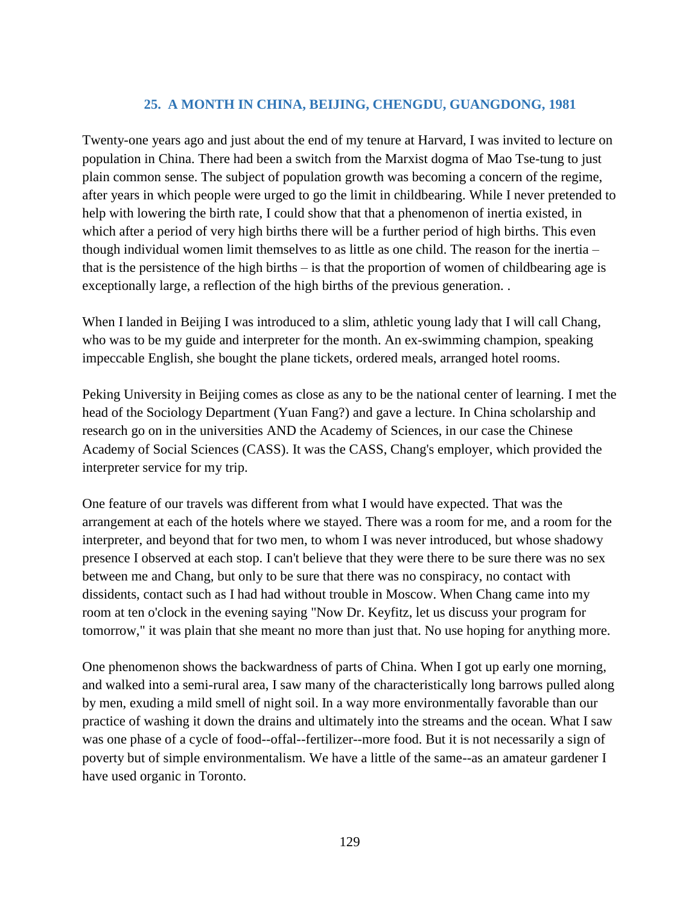## **25. A MONTH IN CHINA, BEIJING, CHENGDU, GUANGDONG, 1981**

Twenty-one years ago and just about the end of my tenure at Harvard, I was invited to lecture on population in China. There had been a switch from the Marxist dogma of Mao Tse-tung to just plain common sense. The subject of population growth was becoming a concern of the regime, after years in which people were urged to go the limit in childbearing. While I never pretended to help with lowering the birth rate, I could show that that a phenomenon of inertia existed, in which after a period of very high births there will be a further period of high births. This even though individual women limit themselves to as little as one child. The reason for the inertia – that is the persistence of the high births  $-$  is that the proportion of women of childbearing age is exceptionally large, a reflection of the high births of the previous generation. .

When I landed in Beijing I was introduced to a slim, athletic young lady that I will call Chang, who was to be my guide and interpreter for the month. An ex-swimming champion, speaking impeccable English, she bought the plane tickets, ordered meals, arranged hotel rooms.

Peking University in Beijing comes as close as any to be the national center of learning. I met the head of the Sociology Department (Yuan Fang?) and gave a lecture. In China scholarship and research go on in the universities AND the Academy of Sciences, in our case the Chinese Academy of Social Sciences (CASS). It was the CASS, Chang's employer, which provided the interpreter service for my trip.

One feature of our travels was different from what I would have expected. That was the arrangement at each of the hotels where we stayed. There was a room for me, and a room for the interpreter, and beyond that for two men, to whom I was never introduced, but whose shadowy presence I observed at each stop. I can't believe that they were there to be sure there was no sex between me and Chang, but only to be sure that there was no conspiracy, no contact with dissidents, contact such as I had had without trouble in Moscow. When Chang came into my room at ten o'clock in the evening saying "Now Dr. Keyfitz, let us discuss your program for tomorrow," it was plain that she meant no more than just that. No use hoping for anything more.

One phenomenon shows the backwardness of parts of China. When I got up early one morning, and walked into a semi-rural area, I saw many of the characteristically long barrows pulled along by men, exuding a mild smell of night soil. In a way more environmentally favorable than our practice of washing it down the drains and ultimately into the streams and the ocean. What I saw was one phase of a cycle of food--offal--fertilizer--more food. But it is not necessarily a sign of poverty but of simple environmentalism. We have a little of the same--as an amateur gardener I have used organic in Toronto.